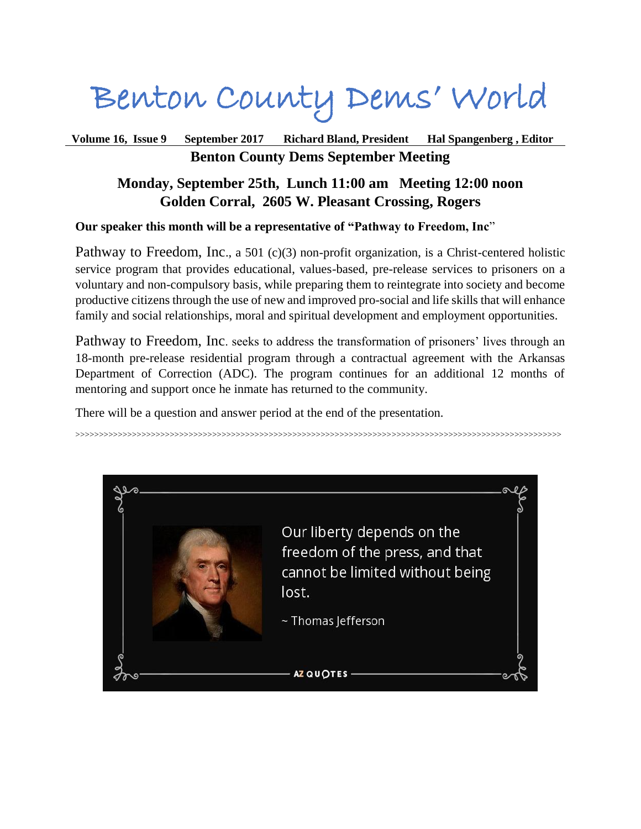# Benton County Dems' World

# **Volume 16, Issue 9 September 2017 Richard Bland, President Hal Spangenberg , Editor Benton County Dems September Meeting**

# **Monday, September 25th, Lunch 11:00 am Meeting 12:00 noon Golden Corral, 2605 W. Pleasant Crossing, Rogers**

# **Our speaker this month will be a representative of "Pathway to Freedom, Inc**"

Pathway to Freedom, Inc., a 501 (c)(3) non-profit organization, is a Christ-centered holistic service program that provides educational, values-based, pre-release services to prisoners on a voluntary and non-compulsory basis, while preparing them to reintegrate into society and become productive citizens through the use of new and improved pro-social and life skills that will enhance family and social relationships, moral and spiritual development and employment opportunities.

Pathway to Freedom, Inc. seeks to address the transformation of prisoners' lives through an 18-month pre-release residential program through a contractual agreement with the Arkansas Department of Correction (ADC). The program continues for an additional 12 months of mentoring and support once he inmate has returned to the community.

There will be a question and answer period at the end of the presentation.

>>>>>>>>>>>>>>>>>>>>>>>>>>>>>>>>>>>>>>>>>>>>>>>>>>>>>>>>>>>>>>>>>>>>>>>>>>>>>>>>>>>>>>>>>>>>>>>>>>>>>>>

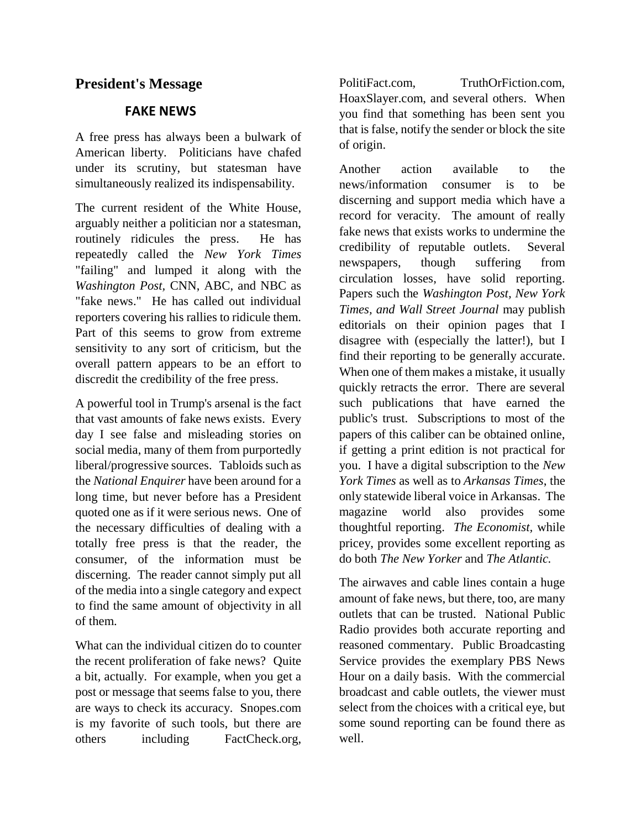# **President's Message**

#### **FAKE NEWS**

A free press has always been a bulwark of American liberty. Politicians have chafed under its scrutiny, but statesman have simultaneously realized its indispensability.

The current resident of the White House, arguably neither a politician nor a statesman, routinely ridicules the press. He has repeatedly called the *New York Times* "failing" and lumped it along with the *Washington Post,* CNN, ABC, and NBC as "fake news." He has called out individual reporters covering his rallies to ridicule them. Part of this seems to grow from extreme sensitivity to any sort of criticism, but the overall pattern appears to be an effort to discredit the credibility of the free press.

A powerful tool in Trump's arsenal is the fact that vast amounts of fake news exists. Every day I see false and misleading stories on social media, many of them from purportedly liberal/progressive sources. Tabloids such as the *National Enquirer* have been around for a long time, but never before has a President quoted one as if it were serious news. One of the necessary difficulties of dealing with a totally free press is that the reader, the consumer, of the information must be discerning. The reader cannot simply put all of the media into a single category and expect to find the same amount of objectivity in all of them.

What can the individual citizen do to counter the recent proliferation of fake news? Quite a bit, actually. For example, when you get a post or message that seems false to you, there are ways to check its accuracy. Snopes.com is my favorite of such tools, but there are others including FactCheck.org,

PolitiFact.com, TruthOrFiction.com, HoaxSlayer.com, and several others. When you find that something has been sent you that is false, notify the sender or block the site of origin.

Another action available to the news/information consumer is to be discerning and support media which have a record for veracity. The amount of really fake news that exists works to undermine the credibility of reputable outlets. Several newspapers, though suffering from circulation losses, have solid reporting. Papers such the *Washington Post, New York Times, and Wall Street Journal* may publish editorials on their opinion pages that I disagree with (especially the latter!), but I find their reporting to be generally accurate. When one of them makes a mistake, it usually quickly retracts the error. There are several such publications that have earned the public's trust. Subscriptions to most of the papers of this caliber can be obtained online, if getting a print edition is not practical for you. I have a digital subscription to the *New York Times* as well as to *Arkansas Times*, the only statewide liberal voice in Arkansas. The magazine world also provides some thoughtful reporting. *The Economist,* while pricey, provides some excellent reporting as do both *The New Yorker* and *The Atlantic.*

The airwaves and cable lines contain a huge amount of fake news, but there, too, are many outlets that can be trusted. National Public Radio provides both accurate reporting and reasoned commentary. Public Broadcasting Service provides the exemplary PBS News Hour on a daily basis. With the commercial broadcast and cable outlets, the viewer must select from the choices with a critical eye, but some sound reporting can be found there as well.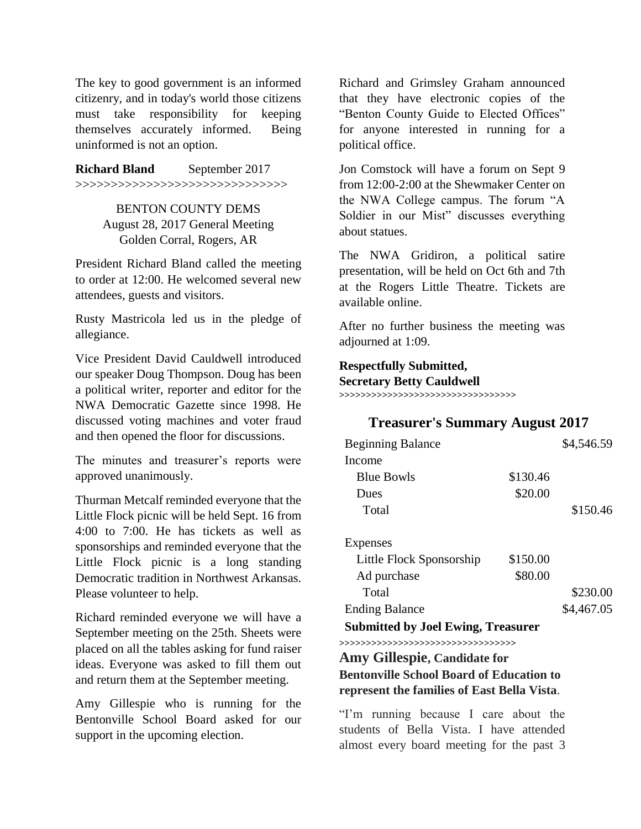The key to good government is an informed citizenry, and in today's world those citizens must take responsibility for keeping themselves accurately informed. Being uninformed is not an option.

**Richard Bland** September 2017 >>>>>>>>>>>>>>>>>>>>>>>>>>>>>>

> BENTON COUNTY DEMS August 28, 2017 General Meeting Golden Corral, Rogers, AR

President Richard Bland called the meeting to order at 12:00. He welcomed several new attendees, guests and visitors.

Rusty Mastricola led us in the pledge of allegiance.

Vice President David Cauldwell introduced our speaker Doug Thompson. Doug has been a political writer, reporter and editor for the NWA Democratic Gazette since 1998. He discussed voting machines and voter fraud and then opened the floor for discussions.

The minutes and treasurer's reports were approved unanimously.

Thurman Metcalf reminded everyone that the Little Flock picnic will be held Sept. 16 from 4:00 to 7:00. He has tickets as well as sponsorships and reminded everyone that the Little Flock picnic is a long standing Democratic tradition in Northwest Arkansas. Please volunteer to help.

Richard reminded everyone we will have a September meeting on the 25th. Sheets were placed on all the tables asking for fund raiser ideas. Everyone was asked to fill them out and return them at the September meeting.

Amy Gillespie who is running for the Bentonville School Board asked for our support in the upcoming election.

Richard and Grimsley Graham announced that they have electronic copies of the "Benton County Guide to Elected Offices" for anyone interested in running for a political office.

Jon Comstock will have a forum on Sept 9 from 12:00-2:00 at the Shewmaker Center on the NWA College campus. The forum "A Soldier in our Mist" discusses everything about statues.

The NWA Gridiron, a political satire presentation, will be held on Oct 6th and 7th at the Rogers Little Theatre. Tickets are available online.

After no further business the meeting was adjourned at 1:09.

#### **Respectfully Submitted, Secretary Betty Cauldwell >>>>>>>>>>>>>>>>>>>>>>>>>>>>>>>>>**

# **Treasurer's Summary August 2017**

| <b>Beginning Balance</b>                                           |          | \$4,546.59 |
|--------------------------------------------------------------------|----------|------------|
| Income                                                             |          |            |
| <b>Blue Bowls</b>                                                  | \$130.46 |            |
| Dues                                                               | \$20.00  |            |
| Total                                                              |          | \$150.46   |
| Expenses                                                           |          |            |
| Little Flock Sponsorship                                           | \$150.00 |            |
| Ad purchase                                                        | \$80.00  |            |
| Total                                                              |          | \$230.00   |
| <b>Ending Balance</b>                                              |          | \$4,467.05 |
| <b>Submitted by Joel Ewing, Treasurer</b>                          |          |            |
| >>>>>>>>>>>>>>>>>>>>>>>>>>><br><b>Amy Gillespie, Candidate for</b> |          |            |

**Bentonville School Board of Education to represent the families of East Bella Vista**.

"I'm running because I care about the students of Bella Vista. I have attended almost every board meeting for the past 3